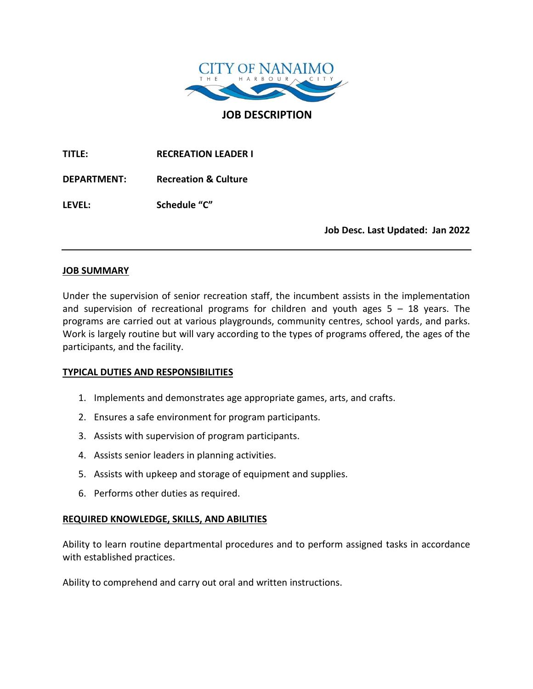

**JOB DESCRIPTION**

**TITLE: RECREATION LEADER I**

**DEPARTMENT: Recreation & Culture**

**LEVEL: Schedule "C"**

**Job Desc. Last Updated: Jan 2022**

## **JOB SUMMARY**

Under the supervision of senior recreation staff, the incumbent assists in the implementation and supervision of recreational programs for children and youth ages  $5 - 18$  years. The programs are carried out at various playgrounds, community centres, school yards, and parks. Work is largely routine but will vary according to the types of programs offered, the ages of the participants, and the facility.

# **TYPICAL DUTIES AND RESPONSIBILITIES**

- 1. Implements and demonstrates age appropriate games, arts, and crafts.
- 2. Ensures a safe environment for program participants.
- 3. Assists with supervision of program participants.
- 4. Assists senior leaders in planning activities.
- 5. Assists with upkeep and storage of equipment and supplies.
- 6. Performs other duties as required.

# **REQUIRED KNOWLEDGE, SKILLS, AND ABILITIES**

Ability to learn routine departmental procedures and to perform assigned tasks in accordance with established practices.

Ability to comprehend and carry out oral and written instructions.